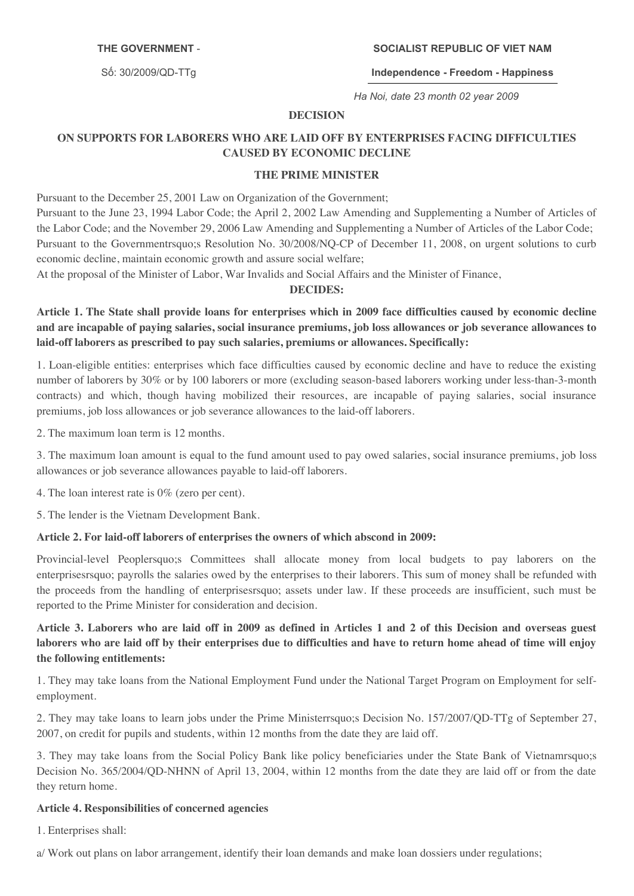#### **THE GOVERNMENT**

Số: 30/2009/QD-TTq

#### **SOCIALIST REPUBLIC OF VIET NAM**

**Independence Freedom Happiness**

*Ha Noi, date 23 month 02 year 2009*

### **DECISION**

# **ON SUPPORTS FOR LABORERS WHO ARE LAID OFF BY ENTERPRISES FACING DIFFICULTIES CAUSED BY ECONOMIC DECLINE**

#### **THE PRIME MINISTER**

Pursuant to the December 25, 2001 Law on Organization of the Government; Pursuant to the June 23, 1994 Labor Code; the April 2, 2002 Law Amending and Supplementing a Number of Articles of the Labor Code; and the November 29, 2006 Law Amending and Supplementing a Number of Articles of the Labor Code; Pursuant to the Governmentrsquo;s Resolution No. 30/2008/NQ-CP of December 11, 2008, on urgent solutions to curb economic decline, maintain economic growth and assure social welfare;

At the proposal of the Minister of Labor, War Invalids and Social Affairs and the Minister of Finance,

#### **DECIDES:**

Article 1. The State shall provide loans for enterprises which in 2009 face difficulties caused by economic decline and are incapable of paying salaries, social insurance premiums, job loss allowances or job severance allowances to **laid-off laborers as prescribed to pay such salaries, premiums or allowances. Specifically:**

1. Loan-eligible entities: enterprises which face difficulties caused by economic decline and have to reduce the existing number of laborers by 30% or by 100 laborers or more (excluding season-based laborers working under less-than-3-month contracts) and which, though having mobilized their resources, are incapable of paying salaries, social insurance premiums, job loss allowances or job severance allowances to the laid-off laborers.

2. The maximum loan term is 12 months.

3. The maximum loan amount is equal to the fund amount used to pay owed salaries, social insurance premiums, job loss allowances or job severance allowances payable to laid-off laborers.

4. The loan interest rate is 0% (zero per cent).

5. The lender is the Vietnam Development Bank.

#### **Article 2. For laid-off laborers of enterprises the owners of which abscond in 2009:**

Provincial-level Peoplersquo;s Committees shall allocate money from local budgets to pay laborers on the enterprisesrsquo; payrolls the salaries owed by the enterprises to their laborers. This sum of money shall be refunded with the proceeds from the handling of enterprisesrsquo; assets under law. If these proceeds are insufficient, such must be reported to the Prime Minister for consideration and decision.

## Article 3. Laborers who are laid off in 2009 as defined in Articles 1 and 2 of this Decision and overseas guest laborers who are laid off by their enterprises due to difficulties and have to return home ahead of time will enjoy **the following entitlements:**

1. They may take loans from the National Employment Fund under the National Target Program on Employment for selfemployment.

2. They may take loans to learn jobs under the Prime Ministerrsquo;s Decision No. 157/2007/QD-TTg of September 27, 2007, on credit for pupils and students, within 12 months from the date they are laid off.

3. They may take loans from the Social Policy Bank like policy beneficiaries under the State Bank of Vietnamrsquo;s Decision No. 365/2004/QD-NHNN of April 13, 2004, within 12 months from the date they are laid off or from the date they return home.

#### **Article 4. Responsibilities of concerned agencies**

1. Enterprises shall:

a/ Work out plans on labor arrangement, identify their loan demands and make loan dossiers under regulations;